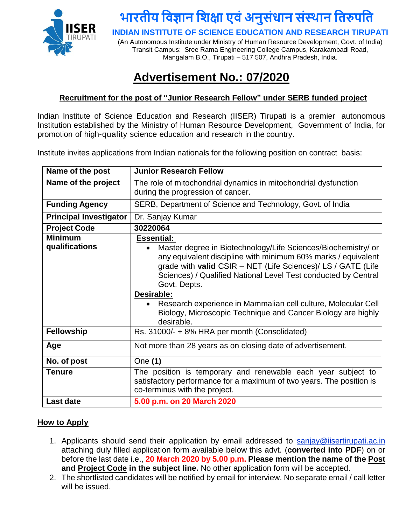

# **भारतीय विज्ञान विक्षा एिंअनुसंधान संस्थान वतरुपवत**

**INDIAN INSTITUTE OF SCIENCE EDUCATION AND RESEARCH TIRUPATI**

(An Autonomous Institute under Ministry of Human Resource Development, Govt. of India) Transit Campus: Sree Rama Engineering College Campus, Karakambadi Road, Mangalam B.O., Tirupati – 517 507, Andhra Pradesh, India.

### **Advertisement No.: 07/2020**

### **Recruitment for the post of "Junior Research Fellow" under SERB funded project**

Indian Institute of Science Education and Research (IISER) Tirupati is a premier autonomous Institution established by the Ministry of Human Resource Development, Government of India, for promotion of high-quality science education and research in the country.

Institute invites applications from Indian nationals for the following position on contract basis:

| Name of the post                 | <b>Junior Research Fellow</b>                                                                                                                                                                                                                                                                                                                                                                                                                                      |
|----------------------------------|--------------------------------------------------------------------------------------------------------------------------------------------------------------------------------------------------------------------------------------------------------------------------------------------------------------------------------------------------------------------------------------------------------------------------------------------------------------------|
| Name of the project              | The role of mitochondrial dynamics in mitochondrial dysfunction                                                                                                                                                                                                                                                                                                                                                                                                    |
|                                  | during the progression of cancer.                                                                                                                                                                                                                                                                                                                                                                                                                                  |
| <b>Funding Agency</b>            | SERB, Department of Science and Technology, Govt. of India                                                                                                                                                                                                                                                                                                                                                                                                         |
| <b>Principal Investigator</b>    | Dr. Sanjay Kumar                                                                                                                                                                                                                                                                                                                                                                                                                                                   |
| <b>Project Code</b>              | 30220064                                                                                                                                                                                                                                                                                                                                                                                                                                                           |
| <b>Minimum</b><br>qualifications | <b>Essential:</b><br>Master degree in Biotechnology/Life Sciences/Biochemistry/ or<br>any equivalent discipline with minimum 60% marks / equivalent<br>grade with valid CSIR - NET (Life Sciences)/ LS / GATE (Life<br>Sciences) / Qualified National Level Test conducted by Central<br>Govt. Depts.<br>Desirable:<br>Research experience in Mammalian cell culture, Molecular Cell<br>Biology, Microscopic Technique and Cancer Biology are highly<br>desirable. |
| <b>Fellowship</b>                | Rs. 31000/- + 8% HRA per month (Consolidated)                                                                                                                                                                                                                                                                                                                                                                                                                      |
| Age                              | Not more than 28 years as on closing date of advertisement.                                                                                                                                                                                                                                                                                                                                                                                                        |
| No. of post                      | One (1)                                                                                                                                                                                                                                                                                                                                                                                                                                                            |
| Tenure                           | The position is temporary and renewable each year subject to<br>satisfactory performance for a maximum of two years. The position is<br>co-terminus with the project.                                                                                                                                                                                                                                                                                              |
| Last date                        | 5.00 p.m. on 20 March 2020                                                                                                                                                                                                                                                                                                                                                                                                                                         |

#### **How to Apply**

- 1. Applicants should send their application by email addressed to sanjay@iisertirupati.ac.in attaching duly filled application form available below this advt. (**converted into PDF**) on or before the last date i.e., **20 March 2020 by 5.00 p.m. Please mention the name of the Post and Project Code in the subject line.** No other application form will be accepted.
- 2. The shortlisted candidates will be notified by email for interview. No separate email / call letter will be issued.